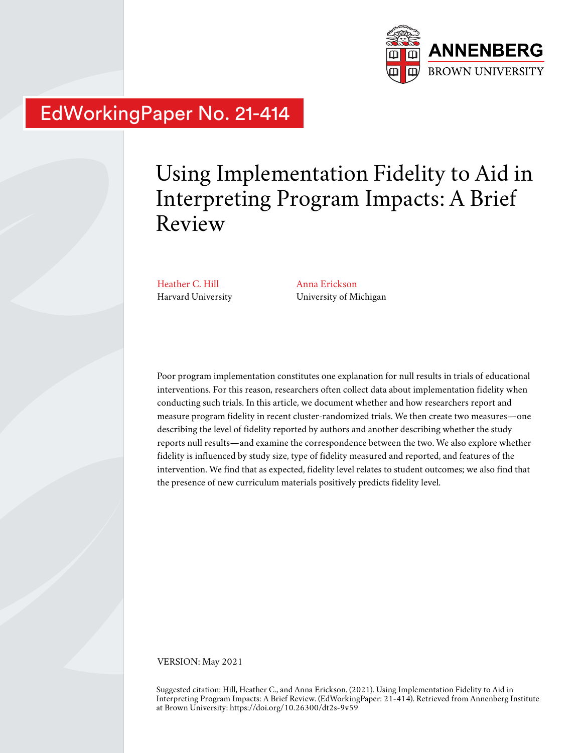

# EdWorkingPaper No. 21-414

# Using Implementation Fidelity to Aid in Interpreting Program Impacts: A Brief Review

Heather C. Hill Harvard University Anna Erickson University of Michigan

Poor program implementation constitutes one explanation for null results in trials of educational interventions. For this reason, researchers often collect data about implementation fidelity when conducting such trials. In this article, we document whether and how researchers report and measure program fidelity in recent cluster-randomized trials. We then create two measures—one describing the level of fidelity reported by authors and another describing whether the study reports null results—and examine the correspondence between the two. We also explore whether fidelity is influenced by study size, type of fidelity measured and reported, and features of the intervention. We find that as expected, fidelity level relates to student outcomes; we also find that the presence of new curriculum materials positively predicts fidelity level.

VERSION: May 2021

Suggested citation: Hill, Heather C., and Anna Erickson. (2021). Using Implementation Fidelity to Aid in Interpreting Program Impacts: A Brief Review. (EdWorkingPaper: 21-414). Retrieved from Annenberg Institute at Brown University: https://doi.org/10.26300/dt2s-9v59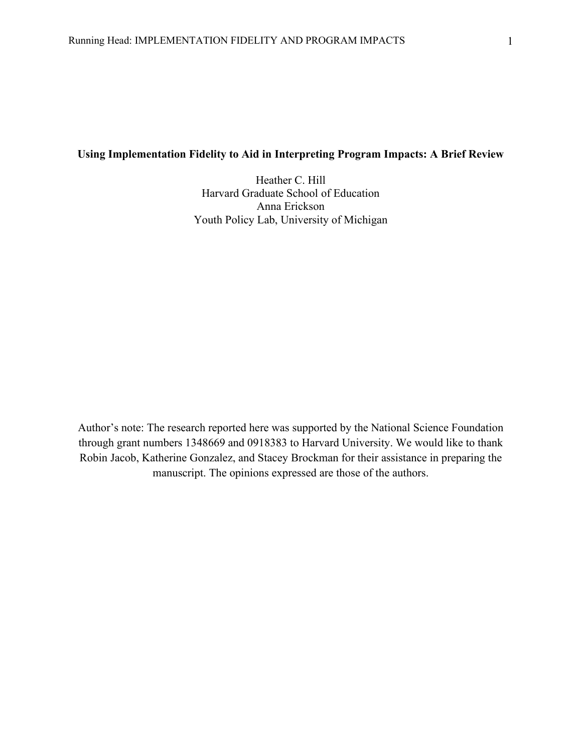### **Using Implementation Fidelity to Aid in Interpreting Program Impacts: A Brief Review**

Heather C. Hill Harvard Graduate School of Education Anna Erickson Youth Policy Lab, University of Michigan

Author's note: The research reported here was supported by the National Science Foundation through grant numbers 1348669 and 0918383 to Harvard University. We would like to thank Robin Jacob, Katherine Gonzalez, and Stacey Brockman for their assistance in preparing the manuscript. The opinions expressed are those of the authors.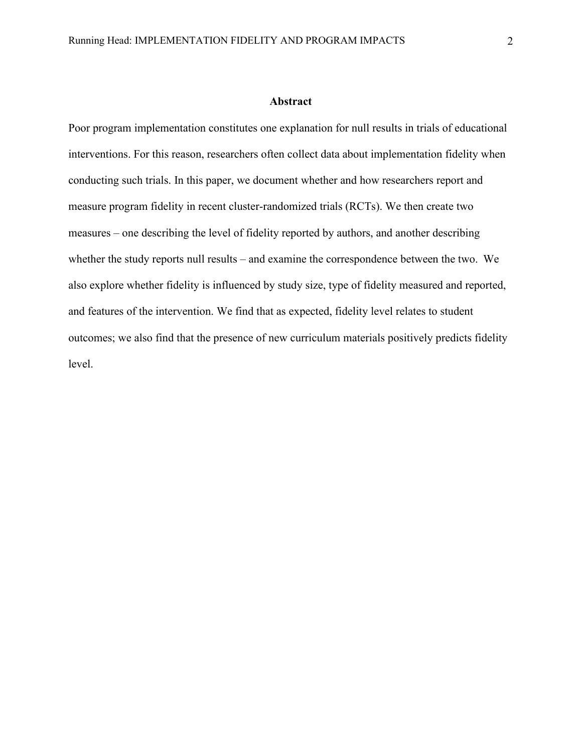#### **Abstract**

Poor program implementation constitutes one explanation for null results in trials of educational interventions. For this reason, researchers often collect data about implementation fidelity when conducting such trials. In this paper, we document whether and how researchers report and measure program fidelity in recent cluster-randomized trials (RCTs). We then create two measures – one describing the level of fidelity reported by authors, and another describing whether the study reports null results – and examine the correspondence between the two. We also explore whether fidelity is influenced by study size, type of fidelity measured and reported, and features of the intervention. We find that as expected, fidelity level relates to student outcomes; we also find that the presence of new curriculum materials positively predicts fidelity level.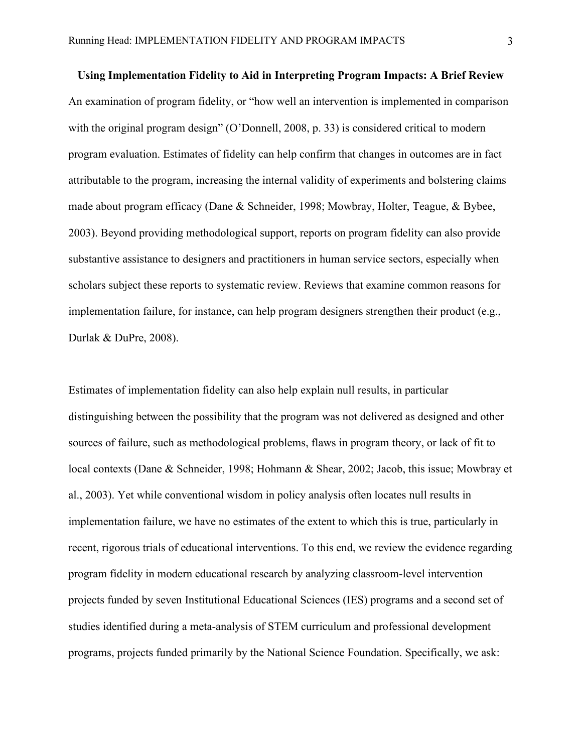**Using Implementation Fidelity to Aid in Interpreting Program Impacts: A Brief Review** An examination of program fidelity, or "how well an intervention is implemented in comparison with the original program design" (O'Donnell, 2008, p. 33) is considered critical to modern program evaluation. Estimates of fidelity can help confirm that changes in outcomes are in fact attributable to the program, increasing the internal validity of experiments and bolstering claims made about program efficacy (Dane & Schneider, 1998; Mowbray, Holter, Teague, & Bybee, 2003). Beyond providing methodological support, reports on program fidelity can also provide substantive assistance to designers and practitioners in human service sectors, especially when scholars subject these reports to systematic review. Reviews that examine common reasons for implementation failure, for instance, can help program designers strengthen their product (e.g., Durlak & DuPre, 2008).

Estimates of implementation fidelity can also help explain null results, in particular distinguishing between the possibility that the program was not delivered as designed and other sources of failure, such as methodological problems, flaws in program theory, or lack of fit to local contexts (Dane & Schneider, 1998; Hohmann & Shear, 2002; Jacob, this issue; Mowbray et al., 2003). Yet while conventional wisdom in policy analysis often locates null results in implementation failure, we have no estimates of the extent to which this is true, particularly in recent, rigorous trials of educational interventions. To this end, we review the evidence regarding program fidelity in modern educational research by analyzing classroom-level intervention projects funded by seven Institutional Educational Sciences (IES) programs and a second set of studies identified during a meta-analysis of STEM curriculum and professional development programs, projects funded primarily by the National Science Foundation. Specifically, we ask: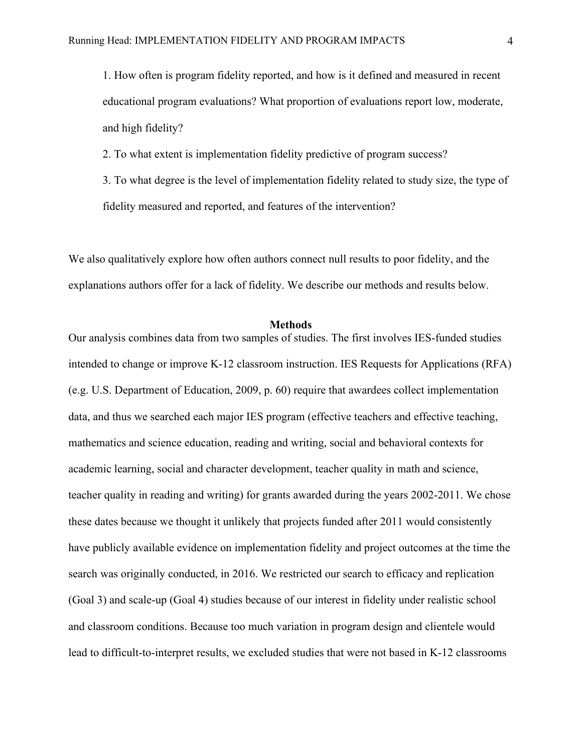1. How often is program fidelity reported, and how is it defined and measured in recent educational program evaluations? What proportion of evaluations report low, moderate, and high fidelity?

2. To what extent is implementation fidelity predictive of program success?

3. To what degree is the level of implementation fidelity related to study size, the type of fidelity measured and reported, and features of the intervention?

We also qualitatively explore how often authors connect null results to poor fidelity, and the explanations authors offer for a lack of fidelity. We describe our methods and results below.

#### **Methods**

Our analysis combines data from two samples of studies. The first involves IES-funded studies intended to change or improve K-12 classroom instruction. IES Requests for Applications (RFA) (e.g. U.S. Department of Education, 2009, p. 60) require that awardees collect implementation data, and thus we searched each major IES program (effective teachers and effective teaching, mathematics and science education, reading and writing, social and behavioral contexts for academic learning, social and character development, teacher quality in math and science, teacher quality in reading and writing) for grants awarded during the years 2002-2011. We chose these dates because we thought it unlikely that projects funded after 2011 would consistently have publicly available evidence on implementation fidelity and project outcomes at the time the search was originally conducted, in 2016. We restricted our search to efficacy and replication (Goal 3) and scale-up (Goal 4) studies because of our interest in fidelity under realistic school and classroom conditions. Because too much variation in program design and clientele would lead to difficult-to-interpret results, we excluded studies that were not based in K-12 classrooms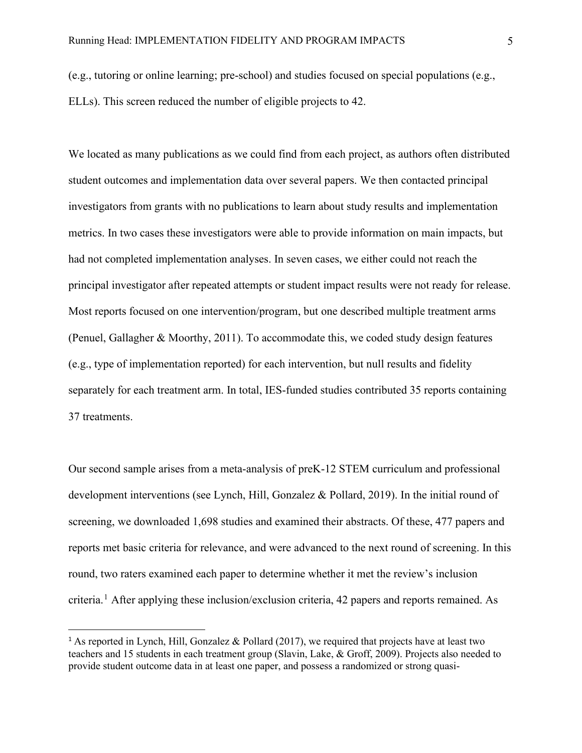(e.g., tutoring or online learning; pre-school) and studies focused on special populations (e.g., ELLs). This screen reduced the number of eligible projects to 42.

We located as many publications as we could find from each project, as authors often distributed student outcomes and implementation data over several papers. We then contacted principal investigators from grants with no publications to learn about study results and implementation metrics. In two cases these investigators were able to provide information on main impacts, but had not completed implementation analyses. In seven cases, we either could not reach the principal investigator after repeated attempts or student impact results were not ready for release. Most reports focused on one intervention/program, but one described multiple treatment arms (Penuel, Gallagher & Moorthy, 2011). To accommodate this, we coded study design features (e.g., type of implementation reported) for each intervention, but null results and fidelity separately for each treatment arm. In total, IES-funded studies contributed 35 reports containing 37 treatments.

Our second sample arises from a meta-analysis of preK-12 STEM curriculum and professional development interventions (see Lynch, Hill, Gonzalez & Pollard, 2019). In the initial round of screening, we downloaded 1,698 studies and examined their abstracts. Of these, 477 papers and reports met basic criteria for relevance, and were advanced to the next round of screening. In this round, two raters examined each paper to determine whether it met the review's inclusion criteria. [1](#page-5-0) After applying these inclusion/exclusion criteria, 42 papers and reports remained. As

<span id="page-5-0"></span><sup>&</sup>lt;sup>1</sup> As reported in Lynch, Hill, Gonzalez & Pollard (2017), we required that projects have at least two teachers and 15 students in each treatment group (Slavin, Lake, & Groff, 2009). Projects also needed to provide student outcome data in at least one paper, and possess a randomized or strong quasi-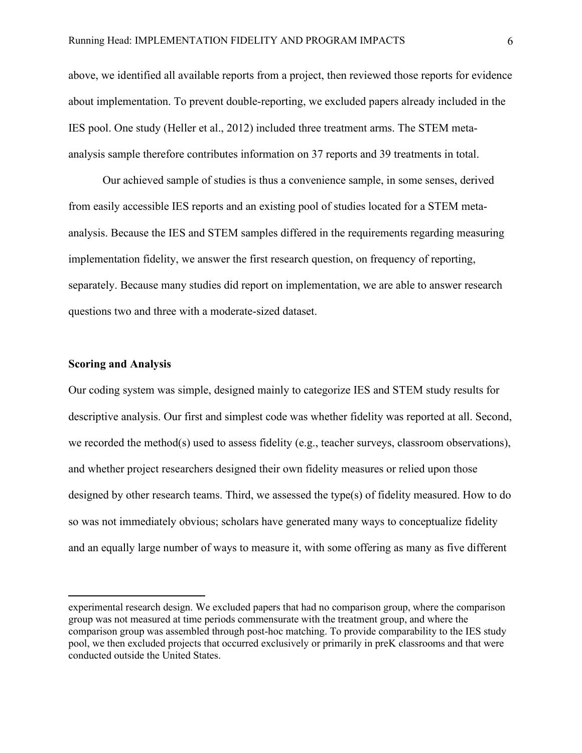above, we identified all available reports from a project, then reviewed those reports for evidence about implementation. To prevent double-reporting, we excluded papers already included in the IES pool. One study (Heller et al., 2012) included three treatment arms. The STEM metaanalysis sample therefore contributes information on 37 reports and 39 treatments in total.

Our achieved sample of studies is thus a convenience sample, in some senses, derived from easily accessible IES reports and an existing pool of studies located for a STEM metaanalysis. Because the IES and STEM samples differed in the requirements regarding measuring implementation fidelity, we answer the first research question, on frequency of reporting, separately. Because many studies did report on implementation, we are able to answer research questions two and three with a moderate-sized dataset.

## **Scoring and Analysis**

Our coding system was simple, designed mainly to categorize IES and STEM study results for descriptive analysis. Our first and simplest code was whether fidelity was reported at all. Second, we recorded the method(s) used to assess fidelity (e.g., teacher surveys, classroom observations), and whether project researchers designed their own fidelity measures or relied upon those designed by other research teams. Third, we assessed the type(s) of fidelity measured. How to do so was not immediately obvious; scholars have generated many ways to conceptualize fidelity and an equally large number of ways to measure it, with some offering as many as five different

experimental research design. We excluded papers that had no comparison group, where the comparison group was not measured at time periods commensurate with the treatment group, and where the comparison group was assembled through post-hoc matching. To provide comparability to the IES study pool, we then excluded projects that occurred exclusively or primarily in preK classrooms and that were conducted outside the United States.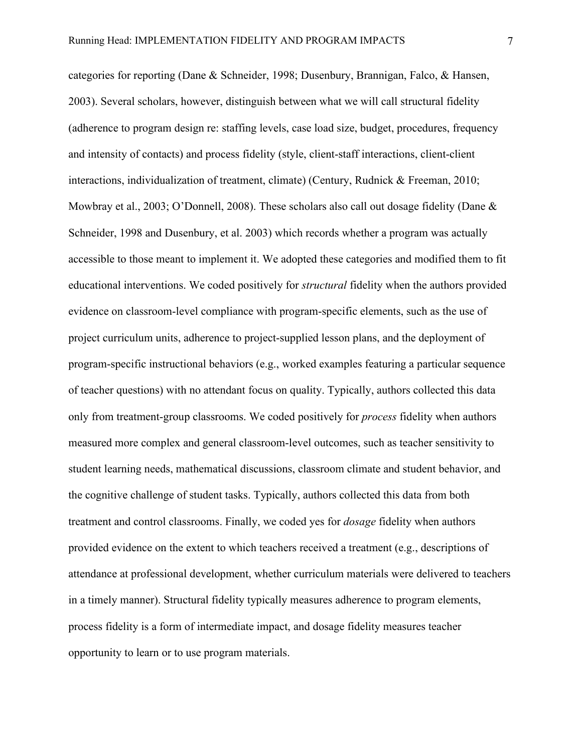categories for reporting (Dane & Schneider, 1998; Dusenbury, Brannigan, Falco, & Hansen, 2003). Several scholars, however, distinguish between what we will call structural fidelity (adherence to program design re: staffing levels, case load size, budget, procedures, frequency and intensity of contacts) and process fidelity (style, client-staff interactions, client-client interactions, individualization of treatment, climate) (Century, Rudnick & Freeman, 2010; Mowbray et al., 2003; O'Donnell, 2008). These scholars also call out dosage fidelity (Dane & Schneider, 1998 and Dusenbury, et al. 2003) which records whether a program was actually accessible to those meant to implement it. We adopted these categories and modified them to fit educational interventions. We coded positively for *structural* fidelity when the authors provided evidence on classroom-level compliance with program-specific elements, such as the use of project curriculum units, adherence to project-supplied lesson plans, and the deployment of program-specific instructional behaviors (e.g., worked examples featuring a particular sequence of teacher questions) with no attendant focus on quality. Typically, authors collected this data only from treatment-group classrooms. We coded positively for *process* fidelity when authors measured more complex and general classroom-level outcomes, such as teacher sensitivity to student learning needs, mathematical discussions, classroom climate and student behavior, and the cognitive challenge of student tasks. Typically, authors collected this data from both treatment and control classrooms. Finally, we coded yes for *dosage* fidelity when authors provided evidence on the extent to which teachers received a treatment (e.g., descriptions of attendance at professional development, whether curriculum materials were delivered to teachers in a timely manner). Structural fidelity typically measures adherence to program elements, process fidelity is a form of intermediate impact, and dosage fidelity measures teacher opportunity to learn or to use program materials.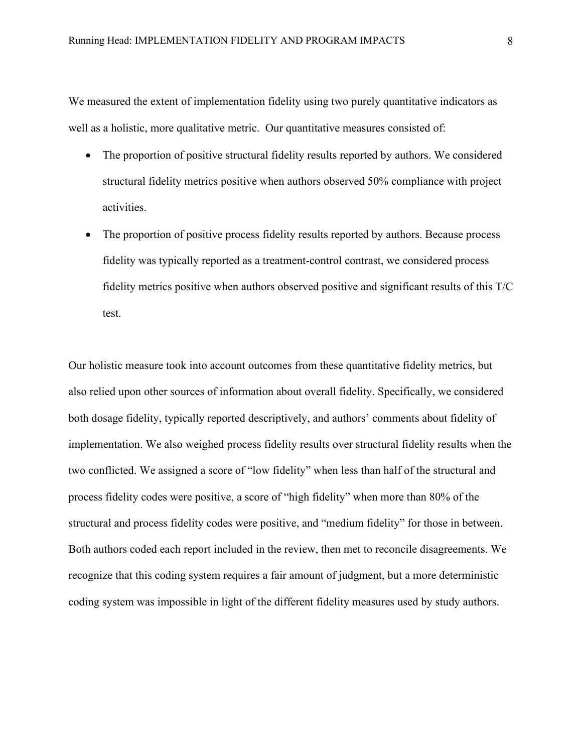We measured the extent of implementation fidelity using two purely quantitative indicators as well as a holistic, more qualitative metric. Our quantitative measures consisted of:

- The proportion of positive structural fidelity results reported by authors. We considered structural fidelity metrics positive when authors observed 50% compliance with project activities.
- The proportion of positive process fidelity results reported by authors. Because process fidelity was typically reported as a treatment-control contrast, we considered process fidelity metrics positive when authors observed positive and significant results of this T/C test.

Our holistic measure took into account outcomes from these quantitative fidelity metrics, but also relied upon other sources of information about overall fidelity. Specifically, we considered both dosage fidelity, typically reported descriptively, and authors' comments about fidelity of implementation. We also weighed process fidelity results over structural fidelity results when the two conflicted. We assigned a score of "low fidelity" when less than half of the structural and process fidelity codes were positive, a score of "high fidelity" when more than 80% of the structural and process fidelity codes were positive, and "medium fidelity" for those in between. Both authors coded each report included in the review, then met to reconcile disagreements. We recognize that this coding system requires a fair amount of judgment, but a more deterministic coding system was impossible in light of the different fidelity measures used by study authors.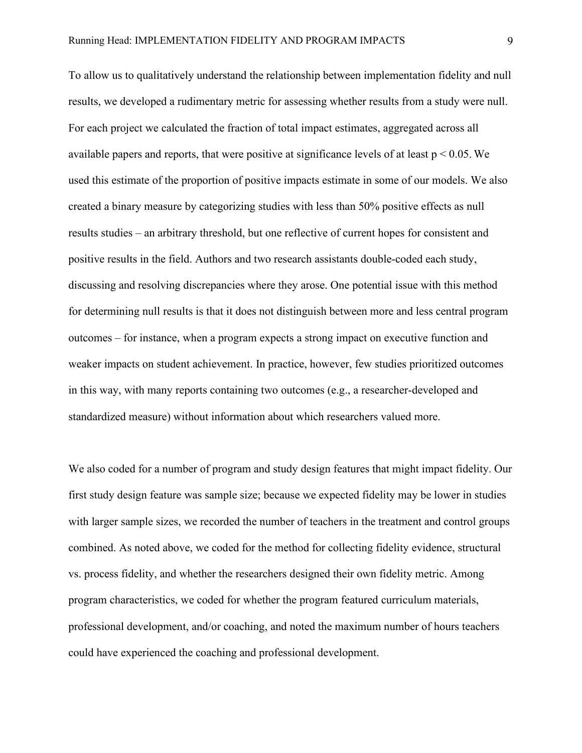To allow us to qualitatively understand the relationship between implementation fidelity and null results, we developed a rudimentary metric for assessing whether results from a study were null. For each project we calculated the fraction of total impact estimates, aggregated across all available papers and reports, that were positive at significance levels of at least  $p < 0.05$ . We used this estimate of the proportion of positive impacts estimate in some of our models. We also created a binary measure by categorizing studies with less than 50% positive effects as null results studies – an arbitrary threshold, but one reflective of current hopes for consistent and positive results in the field. Authors and two research assistants double-coded each study, discussing and resolving discrepancies where they arose. One potential issue with this method for determining null results is that it does not distinguish between more and less central program outcomes – for instance, when a program expects a strong impact on executive function and weaker impacts on student achievement. In practice, however, few studies prioritized outcomes in this way, with many reports containing two outcomes (e.g., a researcher-developed and standardized measure) without information about which researchers valued more.

We also coded for a number of program and study design features that might impact fidelity. Our first study design feature was sample size; because we expected fidelity may be lower in studies with larger sample sizes, we recorded the number of teachers in the treatment and control groups combined. As noted above, we coded for the method for collecting fidelity evidence, structural vs. process fidelity, and whether the researchers designed their own fidelity metric. Among program characteristics, we coded for whether the program featured curriculum materials, professional development, and/or coaching, and noted the maximum number of hours teachers could have experienced the coaching and professional development.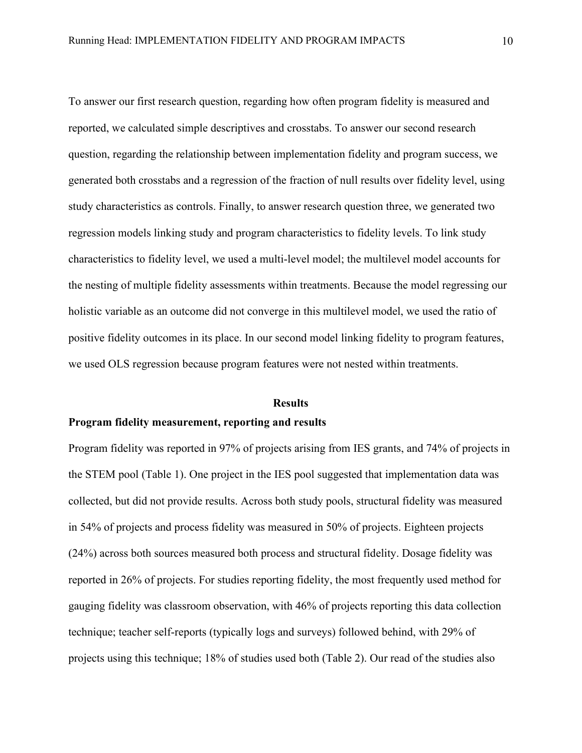To answer our first research question, regarding how often program fidelity is measured and reported, we calculated simple descriptives and crosstabs. To answer our second research question, regarding the relationship between implementation fidelity and program success, we generated both crosstabs and a regression of the fraction of null results over fidelity level, using study characteristics as controls. Finally, to answer research question three, we generated two regression models linking study and program characteristics to fidelity levels. To link study characteristics to fidelity level, we used a multi-level model; the multilevel model accounts for the nesting of multiple fidelity assessments within treatments. Because the model regressing our holistic variable as an outcome did not converge in this multilevel model, we used the ratio of positive fidelity outcomes in its place. In our second model linking fidelity to program features, we used OLS regression because program features were not nested within treatments.

#### **Results**

#### **Program fidelity measurement, reporting and results**

Program fidelity was reported in 97% of projects arising from IES grants, and 74% of projects in the STEM pool (Table 1). One project in the IES pool suggested that implementation data was collected, but did not provide results. Across both study pools, structural fidelity was measured in 54% of projects and process fidelity was measured in 50% of projects. Eighteen projects (24%) across both sources measured both process and structural fidelity. Dosage fidelity was reported in 26% of projects. For studies reporting fidelity, the most frequently used method for gauging fidelity was classroom observation, with 46% of projects reporting this data collection technique; teacher self-reports (typically logs and surveys) followed behind, with 29% of projects using this technique; 18% of studies used both (Table 2). Our read of the studies also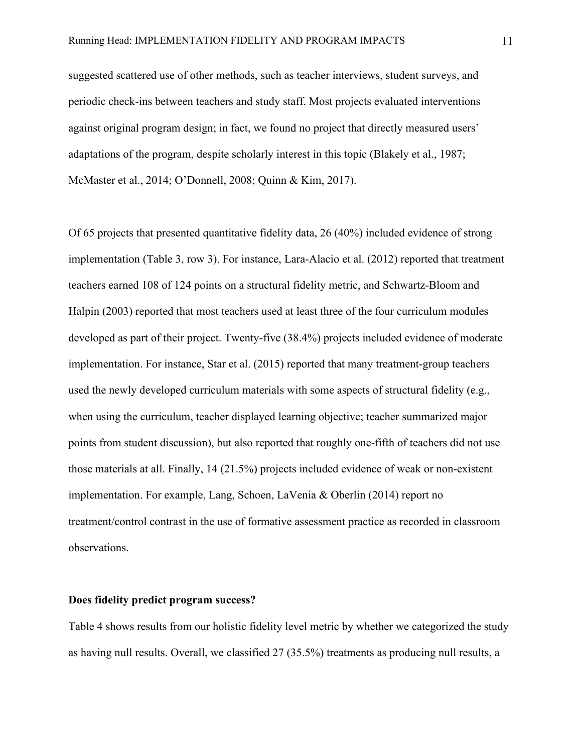suggested scattered use of other methods, such as teacher interviews, student surveys, and periodic check-ins between teachers and study staff. Most projects evaluated interventions against original program design; in fact, we found no project that directly measured users' adaptations of the program, despite scholarly interest in this topic (Blakely et al., 1987; McMaster et al., 2014; O'Donnell, 2008; Quinn & Kim, 2017).

Of 65 projects that presented quantitative fidelity data, 26 (40%) included evidence of strong implementation (Table 3, row 3). For instance, Lara-Alacio et al. (2012) reported that treatment teachers earned 108 of 124 points on a structural fidelity metric, and Schwartz-Bloom and Halpin (2003) reported that most teachers used at least three of the four curriculum modules developed as part of their project. Twenty-five (38.4%) projects included evidence of moderate implementation. For instance, Star et al. (2015) reported that many treatment-group teachers used the newly developed curriculum materials with some aspects of structural fidelity (e.g., when using the curriculum, teacher displayed learning objective; teacher summarized major points from student discussion), but also reported that roughly one-fifth of teachers did not use those materials at all. Finally, 14 (21.5%) projects included evidence of weak or non-existent implementation. For example, Lang, Schoen, LaVenia & Oberlin (2014) report no treatment/control contrast in the use of formative assessment practice as recorded in classroom observations.

## **Does fidelity predict program success?**

Table 4 shows results from our holistic fidelity level metric by whether we categorized the study as having null results. Overall, we classified 27 (35.5%) treatments as producing null results, a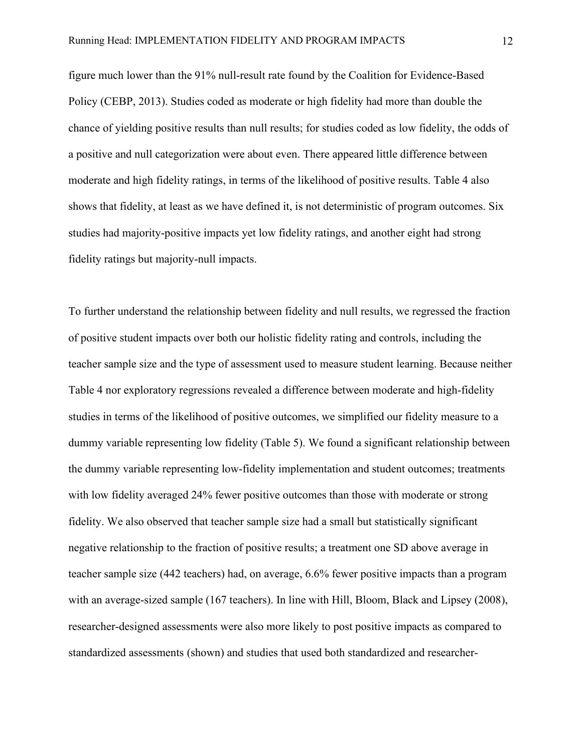figure much lower than the 91% null-result rate found by the Coalition for Evidence-Based Policy (CEBP, 2013). Studies coded as moderate or high fidelity had more than double the chance of yielding positive results than null results; for studies coded as low fidelity, the odds of a positive and null categorization were about even. There appeared little difference between moderate and high fidelity ratings, in terms of the likelihood of positive results. Table 4 also shows that fidelity, at least as we have defined it, is not deterministic of program outcomes. Six studies had majority-positive impacts yet low fidelity ratings, and another eight had strong fidelity ratings but majority-null impacts.

To further understand the relationship between fidelity and null results, we regressed the fraction of positive student impacts over both our holistic fidelity rating and controls, including the teacher sample size and the type of assessment used to measure student learning. Because neither Table 4 nor exploratory regressions revealed a difference between moderate and high-fidelity studies in terms of the likelihood of positive outcomes, we simplified our fidelity measure to a dummy variable representing low fidelity (Table 5). We found a significant relationship between the dummy variable representing low-fidelity implementation and student outcomes; treatments with low fidelity averaged 24% fewer positive outcomes than those with moderate or strong fidelity. We also observed that teacher sample size had a small but statistically significant negative relationship to the fraction of positive results; a treatment one SD above average in teacher sample size (442 teachers) had, on average, 6.6% fewer positive impacts than a program with an average-sized sample (167 teachers). In line with Hill, Bloom, Black and Lipsey (2008), researcher-designed assessments were also more likely to post positive impacts as compared to standardized assessments (shown) and studies that used both standardized and researcher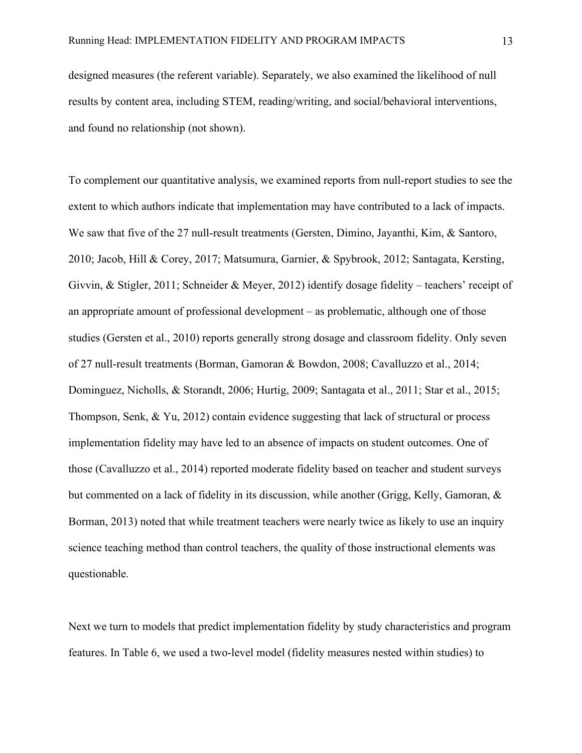designed measures (the referent variable). Separately, we also examined the likelihood of null results by content area, including STEM, reading/writing, and social/behavioral interventions, and found no relationship (not shown).

To complement our quantitative analysis, we examined reports from null-report studies to see the extent to which authors indicate that implementation may have contributed to a lack of impacts. We saw that five of the 27 null-result treatments (Gersten, Dimino, Jayanthi, Kim, & Santoro, 2010; Jacob, Hill & Corey, 2017; Matsumura, Garnier, & Spybrook, 2012; Santagata, Kersting, Givvin, & Stigler, 2011; Schneider & Meyer, 2012) identify dosage fidelity – teachers' receipt of an appropriate amount of professional development – as problematic, although one of those studies (Gersten et al., 2010) reports generally strong dosage and classroom fidelity. Only seven of 27 null-result treatments (Borman, Gamoran & Bowdon, 2008; Cavalluzzo et al., 2014; Dominguez, Nicholls, & Storandt, 2006; Hurtig, 2009; Santagata et al., 2011; Star et al., 2015; Thompson, Senk, & Yu, 2012) contain evidence suggesting that lack of structural or process implementation fidelity may have led to an absence of impacts on student outcomes. One of those (Cavalluzzo et al., 2014) reported moderate fidelity based on teacher and student surveys but commented on a lack of fidelity in its discussion, while another (Grigg, Kelly, Gamoran, & Borman, 2013) noted that while treatment teachers were nearly twice as likely to use an inquiry science teaching method than control teachers, the quality of those instructional elements was questionable.

Next we turn to models that predict implementation fidelity by study characteristics and program features. In Table 6, we used a two-level model (fidelity measures nested within studies) to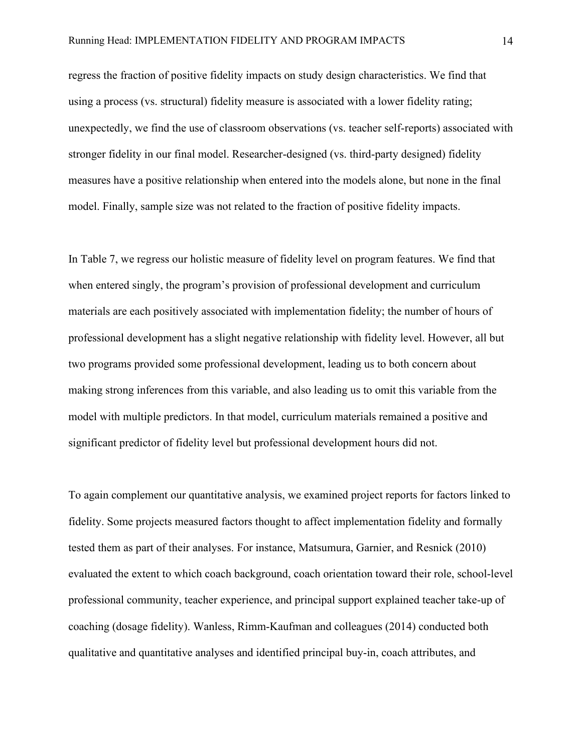regress the fraction of positive fidelity impacts on study design characteristics. We find that using a process (vs. structural) fidelity measure is associated with a lower fidelity rating; unexpectedly, we find the use of classroom observations (vs. teacher self-reports) associated with stronger fidelity in our final model. Researcher-designed (vs. third-party designed) fidelity measures have a positive relationship when entered into the models alone, but none in the final model. Finally, sample size was not related to the fraction of positive fidelity impacts.

In Table 7, we regress our holistic measure of fidelity level on program features. We find that when entered singly, the program's provision of professional development and curriculum materials are each positively associated with implementation fidelity; the number of hours of professional development has a slight negative relationship with fidelity level. However, all but two programs provided some professional development, leading us to both concern about making strong inferences from this variable, and also leading us to omit this variable from the model with multiple predictors. In that model, curriculum materials remained a positive and significant predictor of fidelity level but professional development hours did not.

To again complement our quantitative analysis, we examined project reports for factors linked to fidelity. Some projects measured factors thought to affect implementation fidelity and formally tested them as part of their analyses. For instance, Matsumura, Garnier, and Resnick (2010) evaluated the extent to which coach background, coach orientation toward their role, school-level professional community, teacher experience, and principal support explained teacher take-up of coaching (dosage fidelity). Wanless, Rimm-Kaufman and colleagues (2014) conducted both qualitative and quantitative analyses and identified principal buy-in, coach attributes, and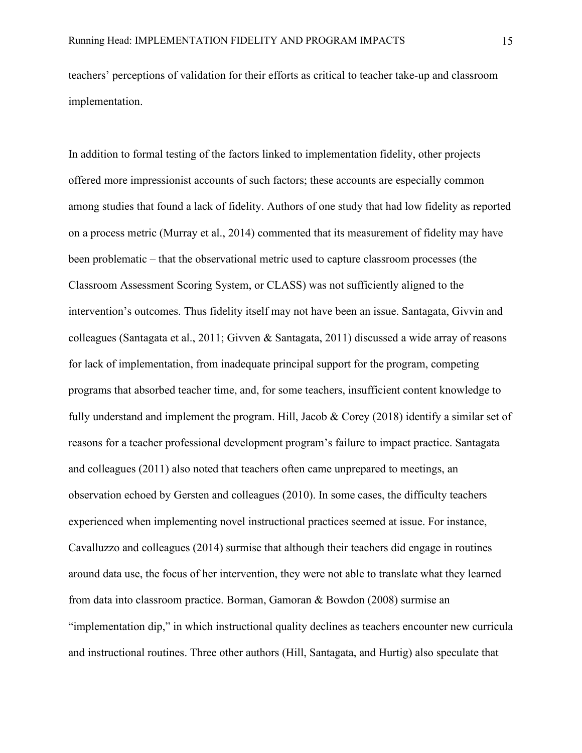teachers' perceptions of validation for their efforts as critical to teacher take-up and classroom implementation.

In addition to formal testing of the factors linked to implementation fidelity, other projects offered more impressionist accounts of such factors; these accounts are especially common among studies that found a lack of fidelity. Authors of one study that had low fidelity as reported on a process metric (Murray et al., 2014) commented that its measurement of fidelity may have been problematic – that the observational metric used to capture classroom processes (the Classroom Assessment Scoring System, or CLASS) was not sufficiently aligned to the intervention's outcomes. Thus fidelity itself may not have been an issue. Santagata, Givvin and colleagues (Santagata et al., 2011; Givven & Santagata, 2011) discussed a wide array of reasons for lack of implementation, from inadequate principal support for the program, competing programs that absorbed teacher time, and, for some teachers, insufficient content knowledge to fully understand and implement the program. Hill, Jacob & Corey (2018) identify a similar set of reasons for a teacher professional development program's failure to impact practice. Santagata and colleagues (2011) also noted that teachers often came unprepared to meetings, an observation echoed by Gersten and colleagues (2010). In some cases, the difficulty teachers experienced when implementing novel instructional practices seemed at issue. For instance, Cavalluzzo and colleagues (2014) surmise that although their teachers did engage in routines around data use, the focus of her intervention, they were not able to translate what they learned from data into classroom practice. Borman, Gamoran & Bowdon (2008) surmise an "implementation dip," in which instructional quality declines as teachers encounter new curricula and instructional routines. Three other authors (Hill, Santagata, and Hurtig) also speculate that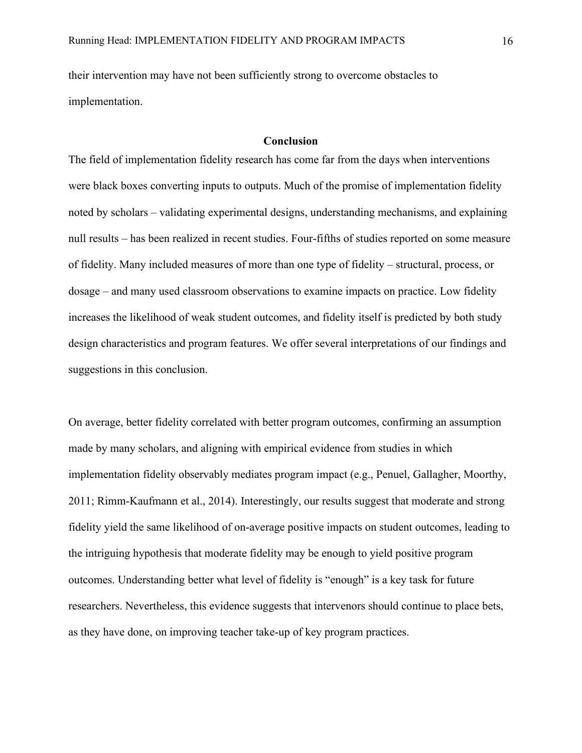their intervention may have not been sufficiently strong to overcome obstacles to implementation.

# **Conclusion**

The field of implementation fidelity research has come far from the days when interventions were black boxes converting inputs to outputs. Much of the promise of implementation fidelity noted by scholars – validating experimental designs, understanding mechanisms, and explaining null results – has been realized in recent studies. Four-fifths of studies reported on some measure of fidelity. Many included measures of more than one type of fidelity – structural, process, or dosage – and many used classroom observations to examine impacts on practice. Low fidelity increases the likelihood of weak student outcomes, and fidelity itself is predicted by both study design characteristics and program features. We offer several interpretations of our findings and suggestions in this conclusion.

On average, better fidelity correlated with better program outcomes, confirming an assumption made by many scholars, and aligning with empirical evidence from studies in which implementation fidelity observably mediates program impact (e.g., Penuel, Gallagher, Moorthy, 2011; Rimm-Kaufmann et al., 2014). Interestingly, our results suggest that moderate and strong fidelity yield the same likelihood of on-average positive impacts on student outcomes, leading to the intriguing hypothesis that moderate fidelity may be enough to yield positive program outcomes. Understanding better what level of fidelity is "enough" is a key task for future researchers. Nevertheless, this evidence suggests that intervenors should continue to place bets, as they have done, on improving teacher take-up of key program practices.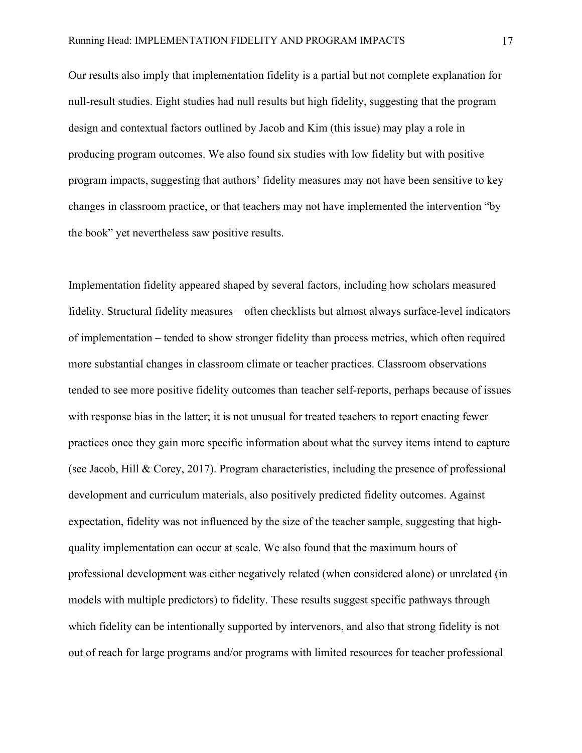Our results also imply that implementation fidelity is a partial but not complete explanation for null-result studies. Eight studies had null results but high fidelity, suggesting that the program design and contextual factors outlined by Jacob and Kim (this issue) may play a role in producing program outcomes. We also found six studies with low fidelity but with positive program impacts, suggesting that authors' fidelity measures may not have been sensitive to key changes in classroom practice, or that teachers may not have implemented the intervention "by the book" yet nevertheless saw positive results.

Implementation fidelity appeared shaped by several factors, including how scholars measured fidelity. Structural fidelity measures – often checklists but almost always surface-level indicators of implementation – tended to show stronger fidelity than process metrics, which often required more substantial changes in classroom climate or teacher practices. Classroom observations tended to see more positive fidelity outcomes than teacher self-reports, perhaps because of issues with response bias in the latter; it is not unusual for treated teachers to report enacting fewer practices once they gain more specific information about what the survey items intend to capture (see Jacob, Hill & Corey, 2017). Program characteristics, including the presence of professional development and curriculum materials, also positively predicted fidelity outcomes. Against expectation, fidelity was not influenced by the size of the teacher sample, suggesting that highquality implementation can occur at scale. We also found that the maximum hours of professional development was either negatively related (when considered alone) or unrelated (in models with multiple predictors) to fidelity. These results suggest specific pathways through which fidelity can be intentionally supported by intervenors, and also that strong fidelity is not out of reach for large programs and/or programs with limited resources for teacher professional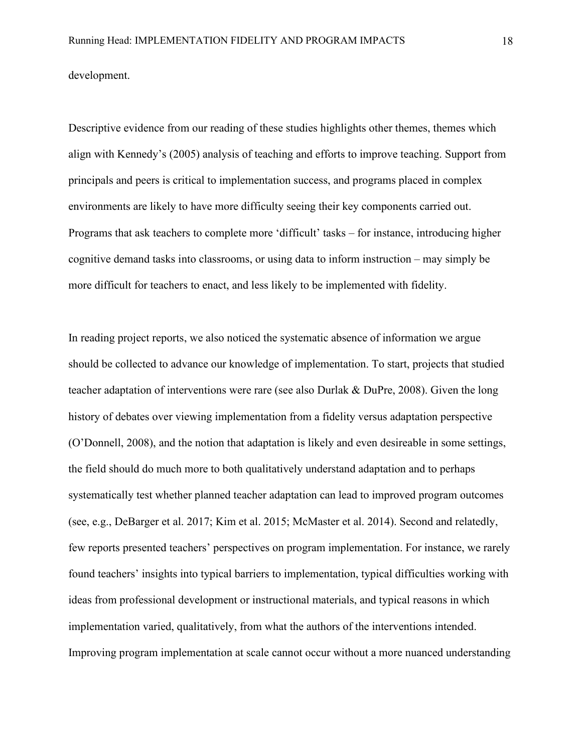development.

Descriptive evidence from our reading of these studies highlights other themes, themes which align with Kennedy's (2005) analysis of teaching and efforts to improve teaching. Support from principals and peers is critical to implementation success, and programs placed in complex environments are likely to have more difficulty seeing their key components carried out. Programs that ask teachers to complete more 'difficult' tasks – for instance, introducing higher cognitive demand tasks into classrooms, or using data to inform instruction – may simply be more difficult for teachers to enact, and less likely to be implemented with fidelity.

In reading project reports, we also noticed the systematic absence of information we argue should be collected to advance our knowledge of implementation. To start, projects that studied teacher adaptation of interventions were rare (see also Durlak & DuPre, 2008). Given the long history of debates over viewing implementation from a fidelity versus adaptation perspective (O'Donnell, 2008), and the notion that adaptation is likely and even desireable in some settings, the field should do much more to both qualitatively understand adaptation and to perhaps systematically test whether planned teacher adaptation can lead to improved program outcomes (see, e.g., DeBarger et al. 2017; Kim et al. 2015; McMaster et al. 2014). Second and relatedly, few reports presented teachers' perspectives on program implementation. For instance, we rarely found teachers' insights into typical barriers to implementation, typical difficulties working with ideas from professional development or instructional materials, and typical reasons in which implementation varied, qualitatively, from what the authors of the interventions intended. Improving program implementation at scale cannot occur without a more nuanced understanding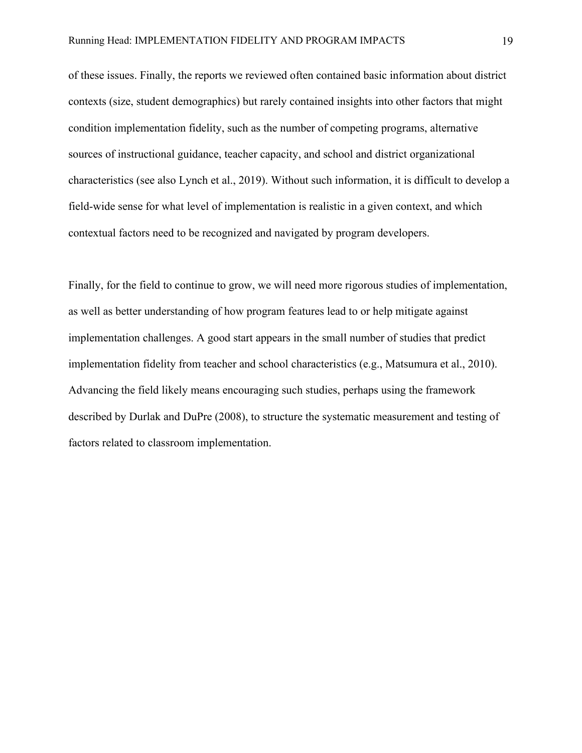of these issues. Finally, the reports we reviewed often contained basic information about district contexts (size, student demographics) but rarely contained insights into other factors that might condition implementation fidelity, such as the number of competing programs, alternative sources of instructional guidance, teacher capacity, and school and district organizational characteristics (see also Lynch et al., 2019). Without such information, it is difficult to develop a field-wide sense for what level of implementation is realistic in a given context, and which contextual factors need to be recognized and navigated by program developers.

Finally, for the field to continue to grow, we will need more rigorous studies of implementation, as well as better understanding of how program features lead to or help mitigate against implementation challenges. A good start appears in the small number of studies that predict implementation fidelity from teacher and school characteristics (e.g., Matsumura et al., 2010). Advancing the field likely means encouraging such studies, perhaps using the framework described by Durlak and DuPre (2008), to structure the systematic measurement and testing of factors related to classroom implementation.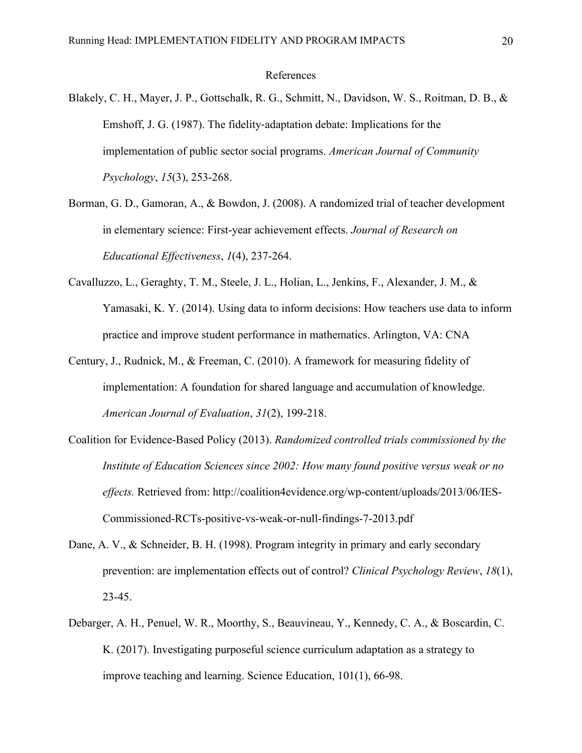### References

- Blakely, C. H., Mayer, J. P., Gottschalk, R. G., Schmitt, N., Davidson, W. S., Roitman, D. B., & Emshoff, J. G. (1987). The fidelity‐adaptation debate: Implications for the implementation of public sector social programs. *American Journal of Community Psychology*, *15*(3), 253-268.
- Borman, G. D., Gamoran, A., & Bowdon, J. (2008). A randomized trial of teacher development in elementary science: First-year achievement effects. *Journal of Research on Educational Effectiveness*, *1*(4), 237-264.
- Cavalluzzo, L., Geraghty, T. M., Steele, J. L., Holian, L., Jenkins, F., Alexander, J. M., & Yamasaki, K. Y. (2014). Using data to inform decisions: How teachers use data to inform practice and improve student performance in mathematics. Arlington, VA: CNA
- Century, J., Rudnick, M., & Freeman, C. (2010). A framework for measuring fidelity of implementation: A foundation for shared language and accumulation of knowledge. *American Journal of Evaluation*, *31*(2), 199-218.
- Coalition for Evidence-Based Policy (2013). *Randomized controlled trials commissioned by the Institute of Education Sciences since 2002: How many found positive versus weak or no effects.* Retrieved from: http://coalition4evidence.org/wp-content/uploads/2013/06/IES-Commissioned-RCTs-positive-vs-weak-or-null-findings-7-2013.pdf
- Dane, A. V., & Schneider, B. H. (1998). Program integrity in primary and early secondary prevention: are implementation effects out of control? *Clinical Psychology Review*, *18*(1), 23-45.
- Debarger, A. H., Penuel, W. R., Moorthy, S., Beauvineau, Y., Kennedy, C. A., & Boscardin, C. K. (2017). Investigating purposeful science curriculum adaptation as a strategy to improve teaching and learning. Science Education, 101(1), 66-98.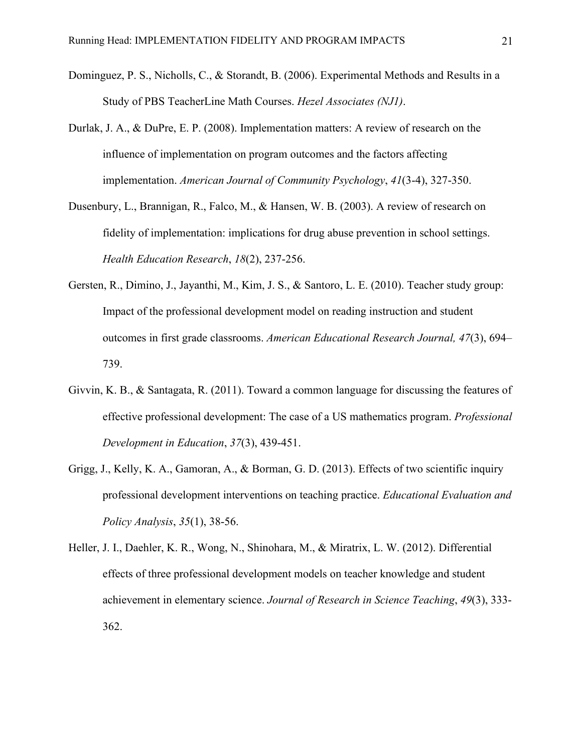- Dominguez, P. S., Nicholls, C., & Storandt, B. (2006). Experimental Methods and Results in a Study of PBS TeacherLine Math Courses. *Hezel Associates (NJ1)*.
- Durlak, J. A., & DuPre, E. P. (2008). Implementation matters: A review of research on the influence of implementation on program outcomes and the factors affecting implementation. *American Journal of Community Psychology*, *41*(3-4), 327-350.
- Dusenbury, L., Brannigan, R., Falco, M., & Hansen, W. B. (2003). A review of research on fidelity of implementation: implications for drug abuse prevention in school settings. *Health Education Research*, *18*(2), 237-256.
- Gersten, R., Dimino, J., Jayanthi, M., Kim, J. S., & Santoro, L. E. (2010). Teacher study group: Impact of the professional development model on reading instruction and student outcomes in first grade classrooms. *American Educational Research Journal, 47*(3), 694– 739.
- Givvin, K. B., & Santagata, R. (2011). Toward a common language for discussing the features of effective professional development: The case of a US mathematics program. *Professional Development in Education*, *37*(3), 439-451.
- Grigg, J., Kelly, K. A., Gamoran, A., & Borman, G. D. (2013). Effects of two scientific inquiry professional development interventions on teaching practice. *Educational Evaluation and Policy Analysis*, *35*(1), 38-56.
- Heller, J. I., Daehler, K. R., Wong, N., Shinohara, M., & Miratrix, L. W. (2012). Differential effects of three professional development models on teacher knowledge and student achievement in elementary science. *Journal of Research in Science Teaching*, *49*(3), 333- 362.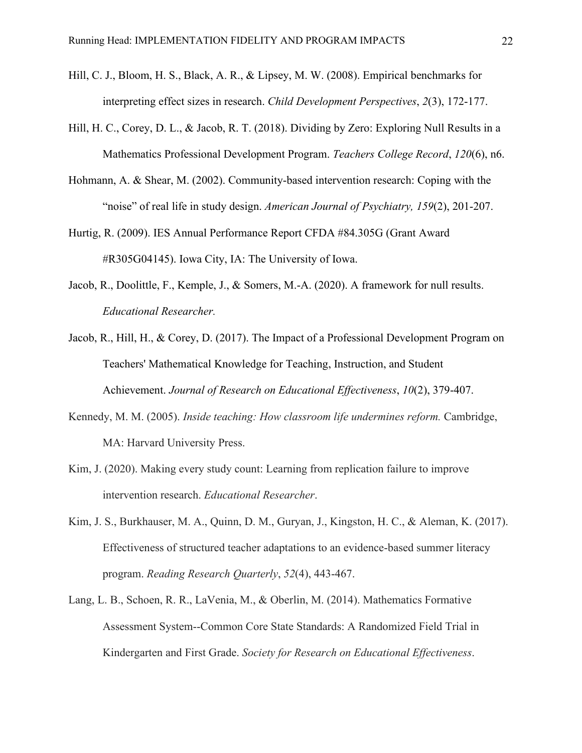- Hill, C. J., Bloom, H. S., Black, A. R., & Lipsey, M. W. (2008). Empirical benchmarks for interpreting effect sizes in research. *Child Development Perspectives*, *2*(3), 172-177.
- Hill, H. C., Corey, D. L., & Jacob, R. T. (2018). Dividing by Zero: Exploring Null Results in a Mathematics Professional Development Program. *Teachers College Record*, *120*(6), n6.
- Hohmann, A. & Shear, M. (2002). Community-based intervention research: Coping with the "noise" of real life in study design. *American Journal of Psychiatry, 159*(2), 201-207.
- Hurtig, R. (2009). IES Annual Performance Report CFDA #84.305G (Grant Award #R305G04145). Iowa City, IA: The University of Iowa.
- Jacob, R., Doolittle, F., Kemple, J., & Somers, M.-A. (2020). A framework for null results. *Educational Researcher.*
- Jacob, R., Hill, H., & Corey, D. (2017). The Impact of a Professional Development Program on Teachers' Mathematical Knowledge for Teaching, Instruction, and Student Achievement. *Journal of Research on Educational Effectiveness*, *10*(2), 379-407.
- Kennedy, M. M. (2005). *Inside teaching: How classroom life undermines reform.* Cambridge, MA: Harvard University Press.
- Kim, J. (2020). Making every study count: Learning from replication failure to improve intervention research. *Educational Researcher*.
- Kim, J. S., Burkhauser, M. A., Quinn, D. M., Guryan, J., Kingston, H. C., & Aleman, K. (2017). Effectiveness of structured teacher adaptations to an evidence‐based summer literacy program. *Reading Research Quarterly*, *52*(4), 443-467.
- Lang, L. B., Schoen, R. R., LaVenia, M., & Oberlin, M. (2014). Mathematics Formative Assessment System--Common Core State Standards: A Randomized Field Trial in Kindergarten and First Grade. *Society for Research on Educational Effectiveness*.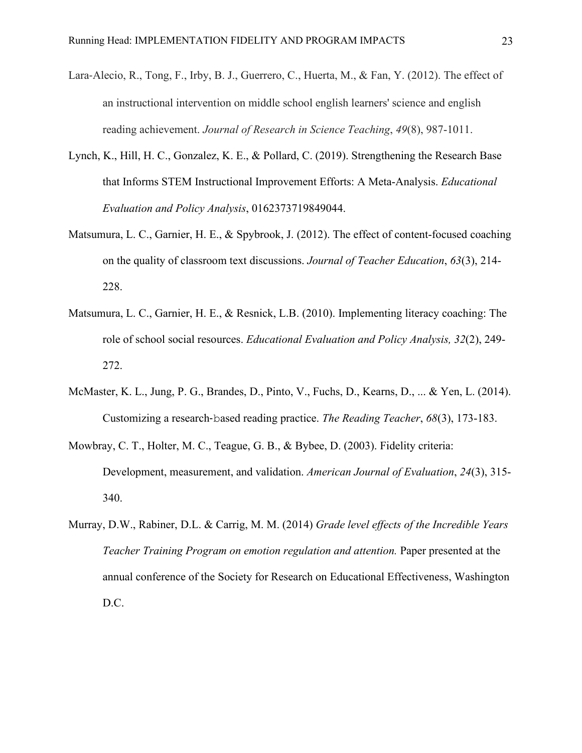- Lara-Alecio, R., Tong, F., Irby, B. J., Guerrero, C., Huerta, M., & Fan, Y. (2012). The effect of an instructional intervention on middle school english learners' science and english reading achievement. *Journal of Research in Science Teaching*, *49*(8), 987-1011.
- Lynch, K., Hill, H. C., Gonzalez, K. E., & Pollard, C. (2019). Strengthening the Research Base that Informs STEM Instructional Improvement Efforts: A Meta-Analysis. *Educational Evaluation and Policy Analysis*, 0162373719849044.
- Matsumura, L. C., Garnier, H. E., & Spybrook, J. (2012). The effect of content-focused coaching on the quality of classroom text discussions. *Journal of Teacher Education*, *63*(3), 214- 228.
- Matsumura, L. C., Garnier, H. E., & Resnick, L.B. (2010). Implementing literacy coaching: The role of school social resources. *Educational Evaluation and Policy Analysis, 32*(2), 249- 272.
- McMaster, K. L., Jung, P. G., Brandes, D., Pinto, V., Fuchs, D., Kearns, D., ... & Yen, L. (2014). Customizing a research‐based reading practice. *The Reading Teacher*, *68*(3), 173-183.
- Mowbray, C. T., Holter, M. C., Teague, G. B., & Bybee, D. (2003). Fidelity criteria: Development, measurement, and validation. *American Journal of Evaluation*, *24*(3), 315- 340.
- Murray, D.W., Rabiner, D.L. & Carrig, M. M. (2014) *Grade level effects of the Incredible Years Teacher Training Program on emotion regulation and attention.* Paper presented at the annual conference of the Society for Research on Educational Effectiveness, Washington D.C.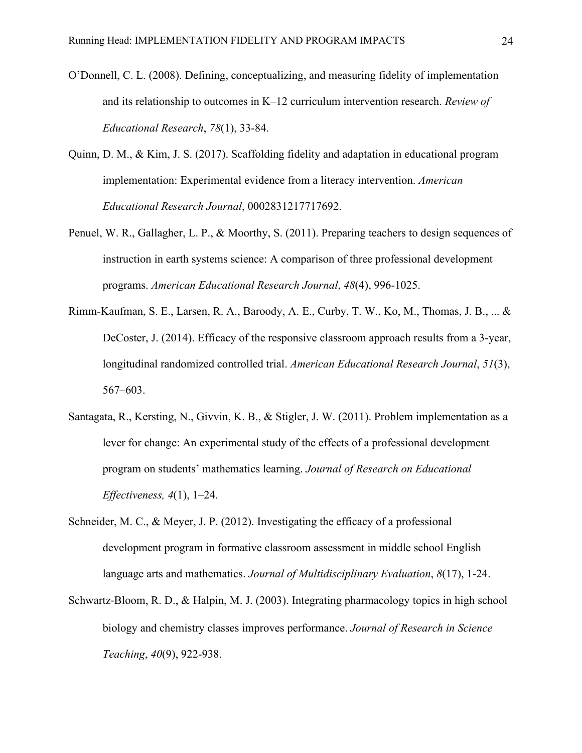- O'Donnell, C. L. (2008). Defining, conceptualizing, and measuring fidelity of implementation and its relationship to outcomes in K–12 curriculum intervention research. *Review of Educational Research*, *78*(1), 33-84.
- Quinn, D. M., & Kim, J. S. (2017). Scaffolding fidelity and adaptation in educational program implementation: Experimental evidence from a literacy intervention. *American Educational Research Journal*, 0002831217717692.
- Penuel, W. R., Gallagher, L. P., & Moorthy, S. (2011). Preparing teachers to design sequences of instruction in earth systems science: A comparison of three professional development programs. *American Educational Research Journal*, *48*(4), 996-1025.
- Rimm-Kaufman, S. E., Larsen, R. A., Baroody, A. E., Curby, T. W., Ko, M., Thomas, J. B., ... & DeCoster, J. (2014). Efficacy of the responsive classroom approach results from a 3-year, longitudinal randomized controlled trial. *American Educational Research Journal*, *51*(3), 567–603.
- Santagata, R., Kersting, N., Givvin, K. B., & Stigler, J. W. (2011). Problem implementation as a lever for change: An experimental study of the effects of a professional development program on students' mathematics learning. *Journal of Research on Educational Effectiveness, 4*(1), 1–24.
- Schneider, M. C., & Meyer, J. P. (2012). Investigating the efficacy of a professional development program in formative classroom assessment in middle school English language arts and mathematics. *Journal of Multidisciplinary Evaluation*, *8*(17), 1-24.
- Schwartz‐Bloom, R. D., & Halpin, M. J. (2003). Integrating pharmacology topics in high school biology and chemistry classes improves performance. *Journal of Research in Science Teaching*, *40*(9), 922-938.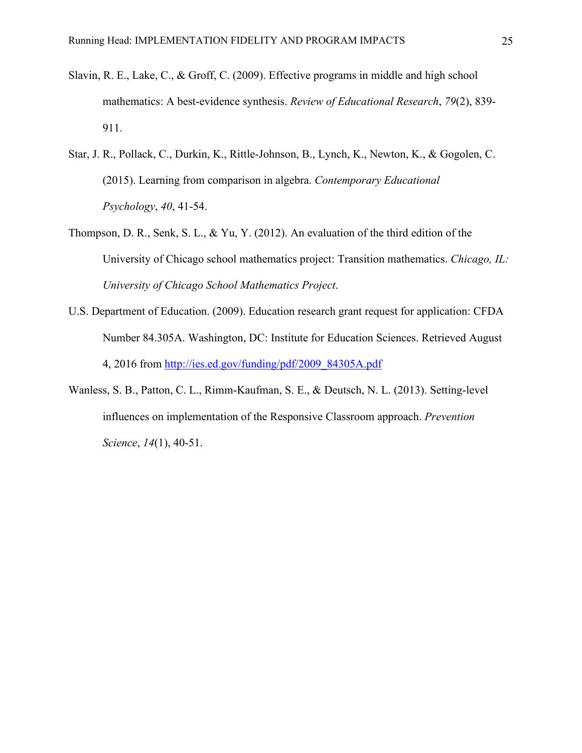- Slavin, R. E., Lake, C., & Groff, C. (2009). Effective programs in middle and high school mathematics: A best-evidence synthesis. *Review of Educational Research*, *79*(2), 839- 911.
- Star, J. R., Pollack, C., Durkin, K., Rittle-Johnson, B., Lynch, K., Newton, K., & Gogolen, C. (2015). Learning from comparison in algebra. *Contemporary Educational Psychology*, *40*, 41-54.
- Thompson, D. R., Senk, S. L., & Yu, Y. (2012). An evaluation of the third edition of the University of Chicago school mathematics project: Transition mathematics. *Chicago, IL: University of Chicago School Mathematics Project*.
- U.S. Department of Education. (2009). Education research grant request for application: CFDA Number 84.305A. Washington, DC: Institute for Education Sciences. Retrieved August 4, 2016 from [http://ies.ed.gov/funding/pdf/2009\\_84305A.pdf](http://ies.ed.gov/funding/pdf/2009_84305A.pdf)
- Wanless, S. B., Patton, C. L., Rimm-Kaufman, S. E., & Deutsch, N. L. (2013). Setting-level influences on implementation of the Responsive Classroom approach. *Prevention Science*, *14*(1), 40-51.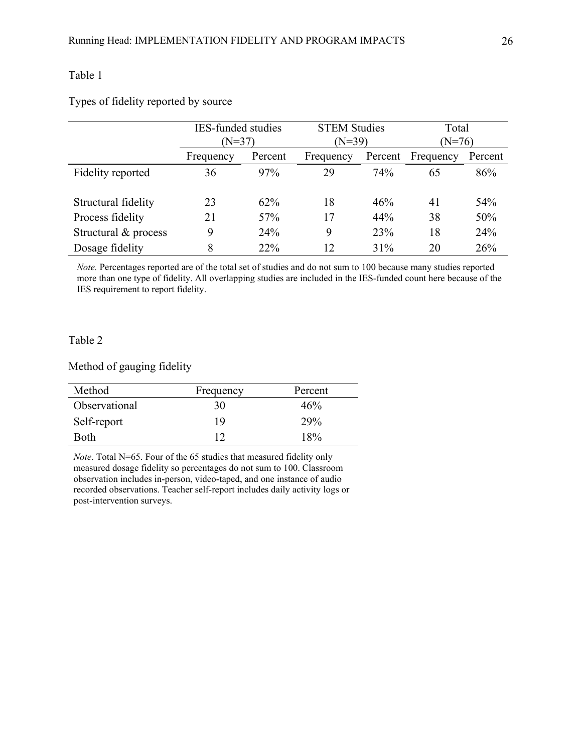Types of fidelity reported by source

|                      | <b>IES-funded studies</b><br>$(N=37)$ |         | <b>STEM Studies</b> |         | Total     |         |
|----------------------|---------------------------------------|---------|---------------------|---------|-----------|---------|
|                      |                                       |         | $(N=39)$            |         | $(N=76)$  |         |
|                      | Frequency                             | Percent | Frequency           | Percent | Frequency | Percent |
| Fidelity reported    | 36                                    | 97%     | 29                  | 74%     | 65        | 86%     |
|                      |                                       |         |                     |         |           |         |
| Structural fidelity  | 23                                    | 62%     | 18                  | 46%     | 41        | 54%     |
| Process fidelity     | 21                                    | 57%     | 17                  | 44%     | 38        | 50%     |
| Structural & process | 9                                     | 24%     | 9                   | 23%     | 18        | 24%     |
| Dosage fidelity      | 8                                     | 22%     | 12                  | 31%     | 20        | 26%     |

*Note.* Percentages reported are of the total set of studies and do not sum to 100 because many studies reported more than one type of fidelity. All overlapping studies are included in the IES-funded count here because of the IES requirement to report fidelity.

#### Table 2

Method of gauging fidelity

| Method        | Frequency | Percent |
|---------------|-----------|---------|
| Observational | 30        | 46%     |
| Self-report   | 19        | 29%     |
| <b>Both</b>   |           | 18%     |

*Note*. Total N=65. Four of the 65 studies that measured fidelity only measured dosage fidelity so percentages do not sum to 100. Classroom observation includes in-person, video-taped, and one instance of audio recorded observations. Teacher self-report includes daily activity logs or post-intervention surveys.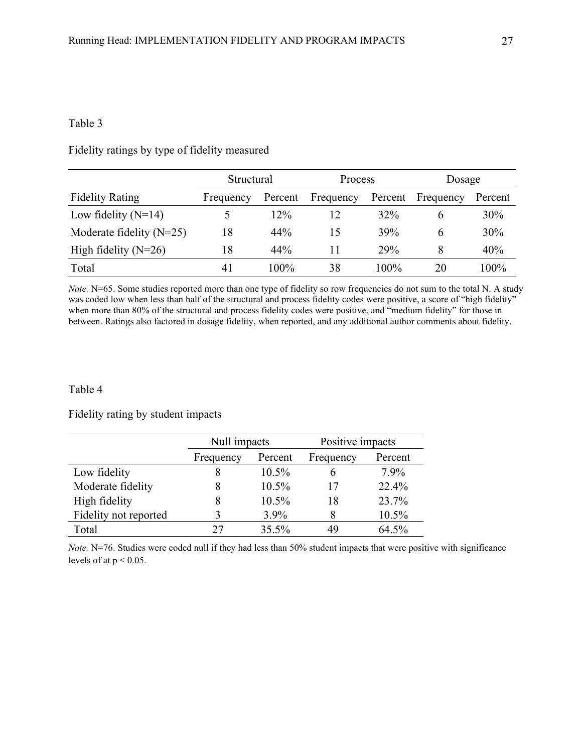Fidelity ratings by type of fidelity measured

|                            | Structural |         | <b>Process</b> |         | Dosage    |         |
|----------------------------|------------|---------|----------------|---------|-----------|---------|
| <b>Fidelity Rating</b>     | Frequency  | Percent | Frequency      | Percent | Frequency | Percent |
| Low fidelity $(N=14)$      |            | 12%     | 12             | 32%     | h         | 30%     |
| Moderate fidelity $(N=25)$ | 18         | 44%     | 15             | 39%     | 6         | 30%     |
| High fidelity $(N=26)$     | 18         | 44%     | 11             | 29%     | 8         | 40%     |
| Total                      | 41         | 100%    | 38             | $100\%$ | 20        | $100\%$ |

*Note.* N=65. Some studies reported more than one type of fidelity so row frequencies do not sum to the total N. A study was coded low when less than half of the structural and process fidelity codes were positive, a score of "high fidelity" when more than 80% of the structural and process fidelity codes were positive, and "medium fidelity" for those in between. Ratings also factored in dosage fidelity, when reported, and any additional author comments about fidelity.

#### Table 4

Fidelity rating by student impacts

|                       | Null impacts         |          | Positive impacts |         |  |
|-----------------------|----------------------|----------|------------------|---------|--|
|                       | Percent<br>Frequency |          | Frequency        | Percent |  |
| Low fidelity          |                      | 10.5%    |                  | 7.9%    |  |
| Moderate fidelity     |                      | $10.5\%$ | 17               | 22.4%   |  |
| High fidelity         |                      | 10.5%    | 18               | 23.7%   |  |
| Fidelity not reported |                      | $3.9\%$  |                  | 10.5%   |  |
| Total                 |                      | 35.5%    | 49               | 64.5%   |  |

*Note.* N=76. Studies were coded null if they had less than 50% student impacts that were positive with significance levels of at  $p < 0.05$ .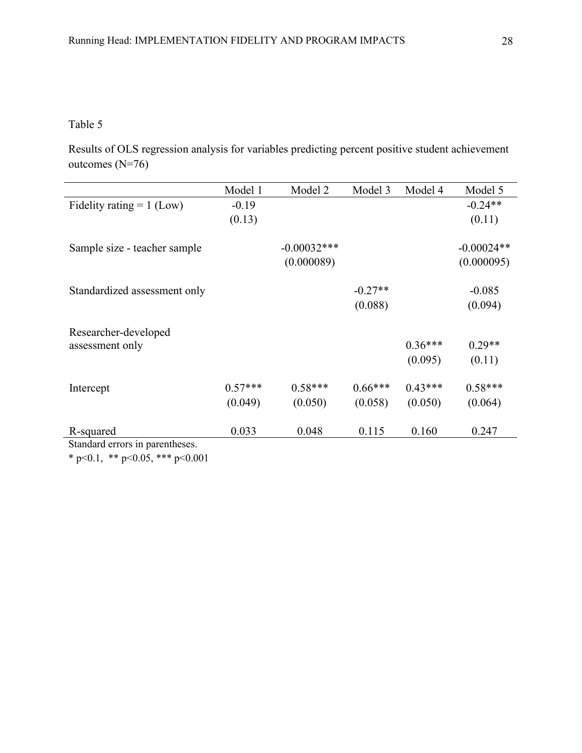Results of OLS regression analysis for variables predicting percent positive student achievement outcomes (N=76)

|                                 | Model 1   | Model 2       | Model 3   | Model 4   | Model 5      |
|---------------------------------|-----------|---------------|-----------|-----------|--------------|
| Fidelity rating $= 1$ (Low)     | $-0.19$   |               |           |           | $-0.24**$    |
|                                 | (0.13)    |               |           |           | (0.11)       |
| Sample size - teacher sample    |           | $-0.00032***$ |           |           | $-0.00024**$ |
|                                 |           | (0.000089)    |           |           | (0.000095)   |
| Standardized assessment only    |           |               | $-0.27**$ |           | $-0.085$     |
|                                 |           |               | (0.088)   |           | (0.094)      |
| Researcher-developed            |           |               |           |           |              |
| assessment only                 |           |               |           | $0.36***$ | $0.29**$     |
|                                 |           |               |           | (0.095)   | (0.11)       |
| Intercept                       | $0.57***$ | $0.58***$     | $0.66***$ | $0.43***$ | $0.58***$    |
|                                 | (0.049)   | (0.050)       | (0.058)   | (0.050)   | (0.064)      |
| R-squared                       | 0.033     | 0.048         | 0.115     | 0.160     | 0.247        |
| Standard errors in parentheses. |           |               |           |           |              |

\* p<0.1, \*\* p<0.05, \*\*\* p<0.001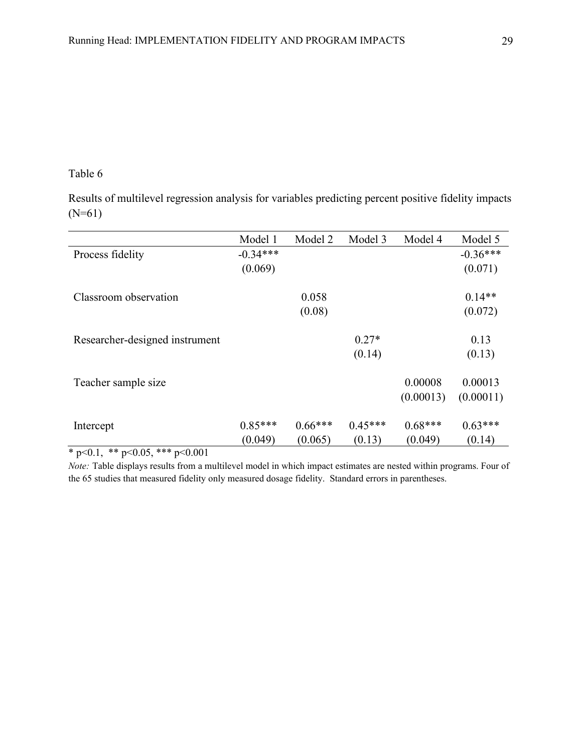Results of multilevel regression analysis for variables predicting percent positive fidelity impacts (N=61)

|                                | Model 1    | Model 2   | Model 3   | Model 4   | Model 5    |
|--------------------------------|------------|-----------|-----------|-----------|------------|
| Process fidelity               | $-0.34***$ |           |           |           | $-0.36***$ |
|                                | (0.069)    |           |           |           | (0.071)    |
|                                |            |           |           |           |            |
| Classroom observation          |            | 0.058     |           |           | $0.14**$   |
|                                |            | (0.08)    |           |           | (0.072)    |
|                                |            |           |           |           |            |
| Researcher-designed instrument |            |           | $0.27*$   |           | 0.13       |
|                                |            |           | (0.14)    |           | (0.13)     |
|                                |            |           |           |           |            |
| Teacher sample size            |            |           |           | 0.00008   | 0.00013    |
|                                |            |           |           | (0.00013) | (0.00011)  |
|                                | $0.85***$  | $0.66***$ | $0.45***$ | $0.68***$ | $0.63***$  |
| Intercept                      |            |           |           |           |            |
|                                | (0.049)    | (0.065)   | (0.13)    | (0.049)   | (0.14)     |

 $*$  p<0.1, \*\* p<0.05, \*\*\* p<0.001

*Note:* Table displays results from a multilevel model in which impact estimates are nested within programs. Four of the 65 studies that measured fidelity only measured dosage fidelity. Standard errors in parentheses.